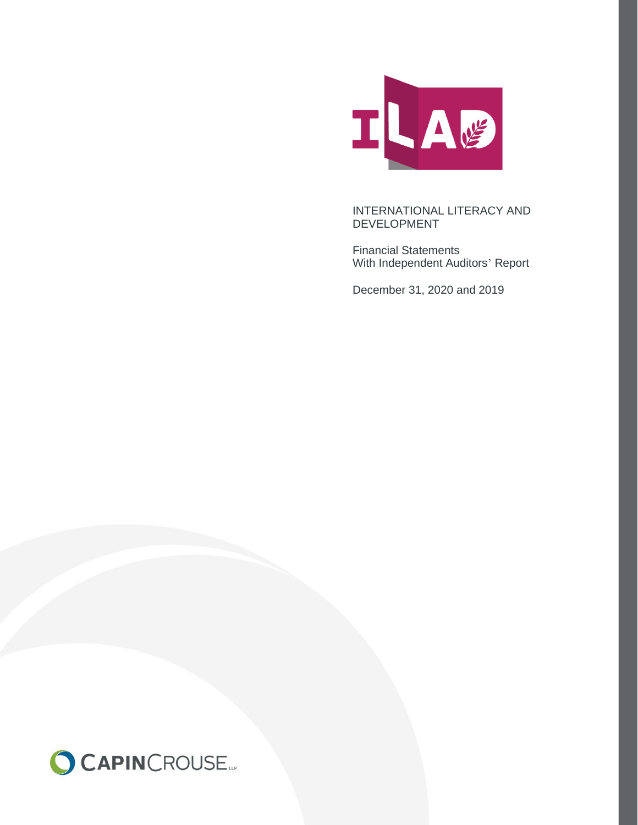

Financial Statements With Independent Auditors' Report

December 31, 2020 and 2019

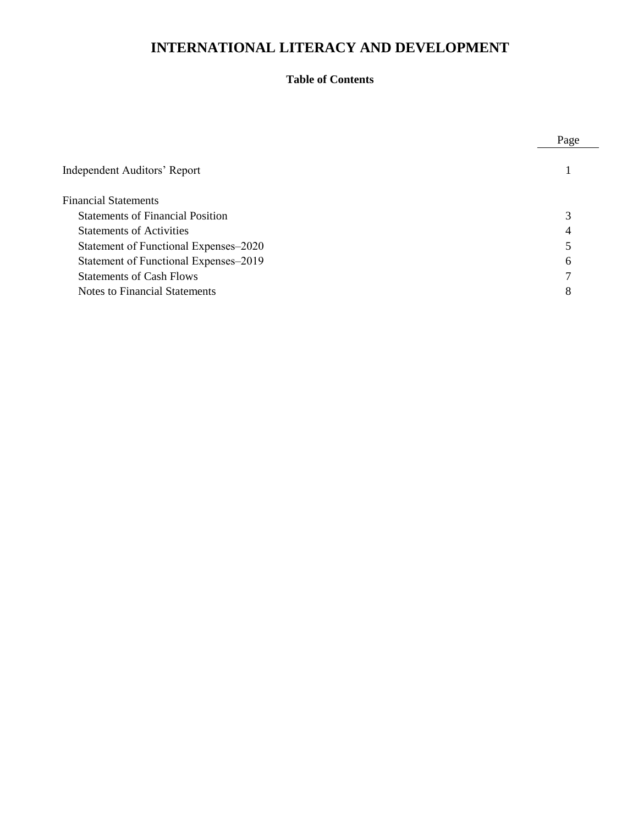### **Table of Contents**

|                                         | Page |
|-----------------------------------------|------|
| Independent Auditors' Report            |      |
| <b>Financial Statements</b>             |      |
| <b>Statements of Financial Position</b> | 3    |
| <b>Statements of Activities</b>         | 4    |
| Statement of Functional Expenses–2020   |      |
| Statement of Functional Expenses-2019   | 6    |
| <b>Statements of Cash Flows</b>         |      |
| <b>Notes to Financial Statements</b>    | 8    |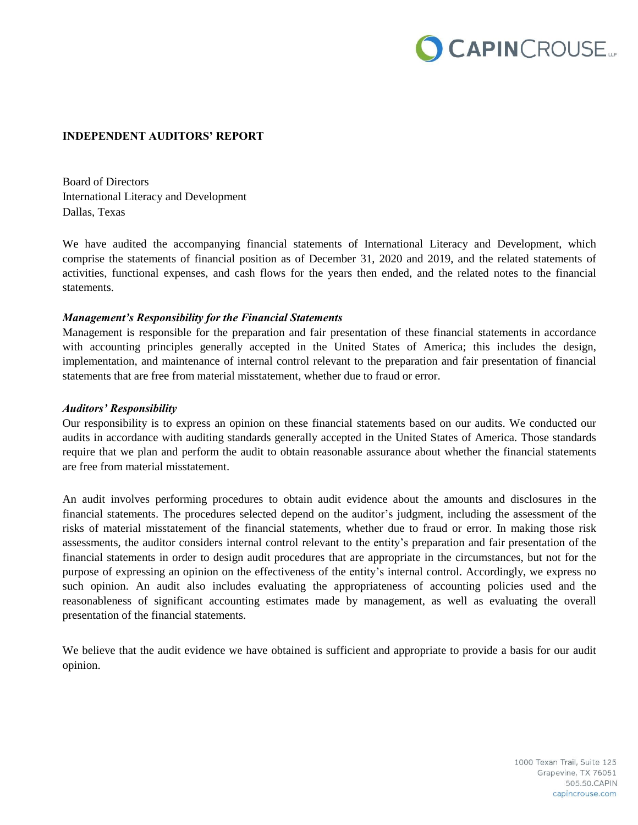

#### **INDEPENDENT AUDITORS' REPORT**

Board of Directors International Literacy and Development Dallas, Texas

We have audited the accompanying financial statements of International Literacy and Development, which comprise the statements of financial position as of December 31, 2020 and 2019, and the related statements of activities, functional expenses, and cash flows for the years then ended, and the related notes to the financial statements.

#### *Management's Responsibility for the Financial Statements*

Management is responsible for the preparation and fair presentation of these financial statements in accordance with accounting principles generally accepted in the United States of America; this includes the design, implementation, and maintenance of internal control relevant to the preparation and fair presentation of financial statements that are free from material misstatement, whether due to fraud or error.

#### *Auditors' Responsibility*

Our responsibility is to express an opinion on these financial statements based on our audits. We conducted our audits in accordance with auditing standards generally accepted in the United States of America. Those standards require that we plan and perform the audit to obtain reasonable assurance about whether the financial statements are free from material misstatement.

An audit involves performing procedures to obtain audit evidence about the amounts and disclosures in the financial statements. The procedures selected depend on the auditor's judgment, including the assessment of the risks of material misstatement of the financial statements, whether due to fraud or error. In making those risk assessments, the auditor considers internal control relevant to the entity's preparation and fair presentation of the financial statements in order to design audit procedures that are appropriate in the circumstances, but not for the purpose of expressing an opinion on the effectiveness of the entity's internal control. Accordingly, we express no such opinion. An audit also includes evaluating the appropriateness of accounting policies used and the reasonableness of significant accounting estimates made by management, as well as evaluating the overall presentation of the financial statements.

We believe that the audit evidence we have obtained is sufficient and appropriate to provide a basis for our audit opinion.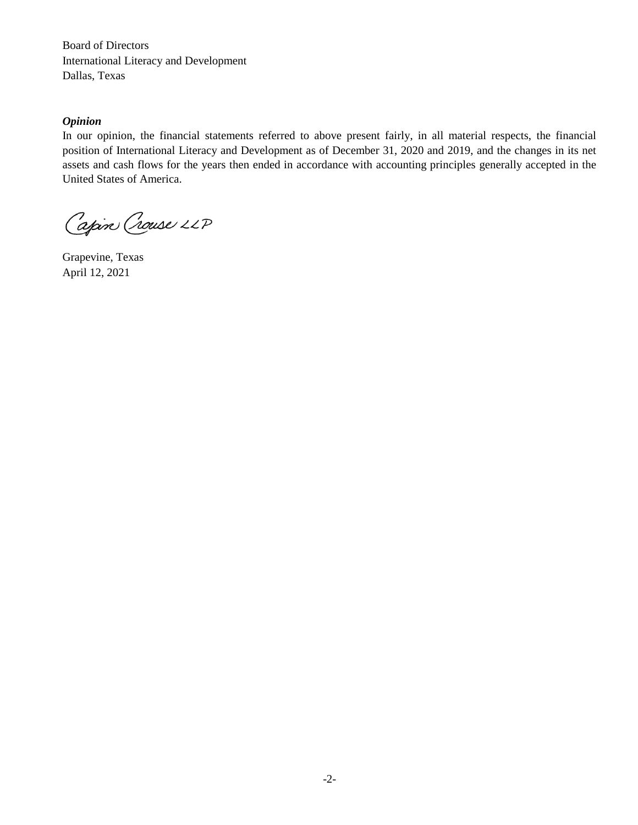Board of Directors International Literacy and Development Dallas, Texas

#### *Opinion*

In our opinion, the financial statements referred to above present fairly, in all material respects, the financial position of International Literacy and Development as of December 31, 2020 and 2019, and the changes in its net assets and cash flows for the years then ended in accordance with accounting principles generally accepted in the United States of America.

Capin Crouse LLP

Grapevine, Texas April 12, 2021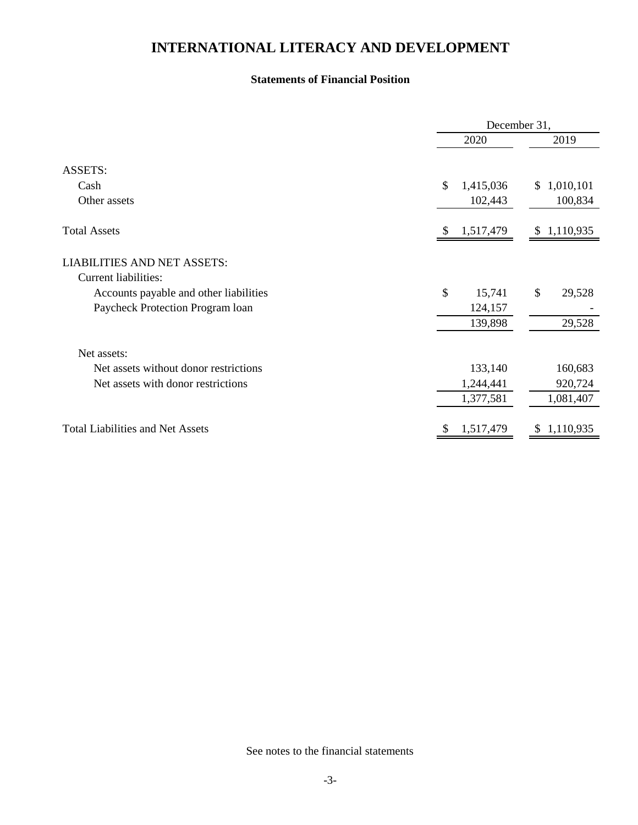#### **Statements of Financial Position**

|                                         |    | December 31, |    |             |  |  |
|-----------------------------------------|----|--------------|----|-------------|--|--|
|                                         |    | 2020         |    | 2019        |  |  |
| <b>ASSETS:</b>                          |    |              |    |             |  |  |
| Cash                                    | \$ | 1,415,036    |    | \$1,010,101 |  |  |
| Other assets                            |    | 102,443      |    | 100,834     |  |  |
| <b>Total Assets</b>                     | S  | 1,517,479    |    | \$1,110,935 |  |  |
| <b>LIABILITIES AND NET ASSETS:</b>      |    |              |    |             |  |  |
| <b>Current liabilities:</b>             |    |              |    |             |  |  |
| Accounts payable and other liabilities  | \$ | 15,741       | \$ | 29,528      |  |  |
| Paycheck Protection Program loan        |    | 124,157      |    |             |  |  |
|                                         |    | 139,898      |    | 29,528      |  |  |
| Net assets:                             |    |              |    |             |  |  |
| Net assets without donor restrictions   |    | 133,140      |    | 160,683     |  |  |
| Net assets with donor restrictions      |    | 1,244,441    |    | 920,724     |  |  |
|                                         |    | 1,377,581    |    | 1,081,407   |  |  |
| <b>Total Liabilities and Net Assets</b> | \$ | 1,517,479    |    | \$1,110,935 |  |  |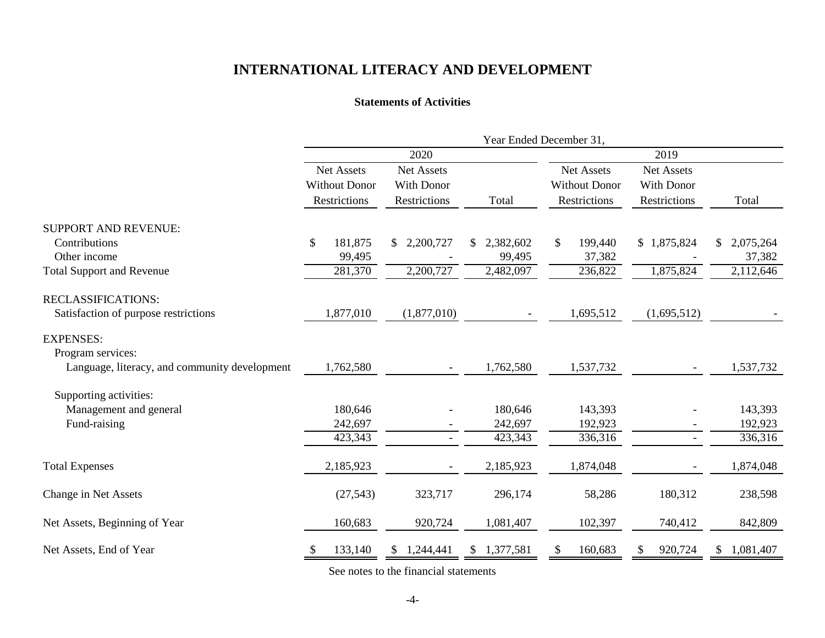#### **Statements of Activities**

|                                               | Year Ended December 31, |                 |                 |                      |                          |           |  |  |  |  |
|-----------------------------------------------|-------------------------|-----------------|-----------------|----------------------|--------------------------|-----------|--|--|--|--|
|                                               |                         | 2020            |                 | 2019                 |                          |           |  |  |  |  |
|                                               | Net Assets              | Net Assets      |                 | Net Assets           | Net Assets               |           |  |  |  |  |
|                                               | <b>Without Donor</b>    | With Donor      |                 | <b>Without Donor</b> | With Donor               |           |  |  |  |  |
|                                               | Restrictions            | Restrictions    | Total           | Restrictions         | Restrictions             | Total     |  |  |  |  |
| <b>SUPPORT AND REVENUE:</b>                   |                         |                 |                 |                      |                          |           |  |  |  |  |
| Contributions                                 | \$<br>181,875           | 2,200,727<br>\$ | 2,382,602<br>S. | 199,440<br>\$        | \$1,875,824              | 2,075,264 |  |  |  |  |
| Other income                                  | 99,495                  |                 | 99,495          | 37,382               |                          | 37,382    |  |  |  |  |
| <b>Total Support and Revenue</b>              | 281,370                 | 2,200,727       | 2,482,097       | 236,822              | 1,875,824                | 2,112,646 |  |  |  |  |
| <b>RECLASSIFICATIONS:</b>                     |                         |                 |                 |                      |                          |           |  |  |  |  |
| Satisfaction of purpose restrictions          | 1,877,010               | (1,877,010)     |                 | 1,695,512            | (1,695,512)              |           |  |  |  |  |
| <b>EXPENSES:</b>                              |                         |                 |                 |                      |                          |           |  |  |  |  |
| Program services:                             |                         |                 |                 |                      |                          |           |  |  |  |  |
| Language, literacy, and community development | 1,762,580               |                 | 1,762,580       | 1,537,732            |                          | 1,537,732 |  |  |  |  |
| Supporting activities:                        |                         |                 |                 |                      |                          |           |  |  |  |  |
| Management and general                        | 180,646                 |                 | 180,646         | 143,393              |                          | 143,393   |  |  |  |  |
| Fund-raising                                  | 242,697                 |                 | 242,697         | 192,923              |                          | 192,923   |  |  |  |  |
|                                               | 423,343                 |                 | 423,343         | 336,316              | $\overline{\phantom{0}}$ | 336,316   |  |  |  |  |
| <b>Total Expenses</b>                         | 2,185,923               |                 | 2,185,923       | 1,874,048            |                          | 1,874,048 |  |  |  |  |
| Change in Net Assets                          | (27, 543)               | 323,717         | 296,174         | 58,286               | 180,312                  | 238,598   |  |  |  |  |
| Net Assets, Beginning of Year                 | 160,683                 | 920,724         | 1,081,407       | 102,397              | 740,412                  | 842,809   |  |  |  |  |
| Net Assets, End of Year                       | 133,140                 | 1,244,441       | 1,377,581<br>S. | 160,683              | 920,724                  | 1,081,407 |  |  |  |  |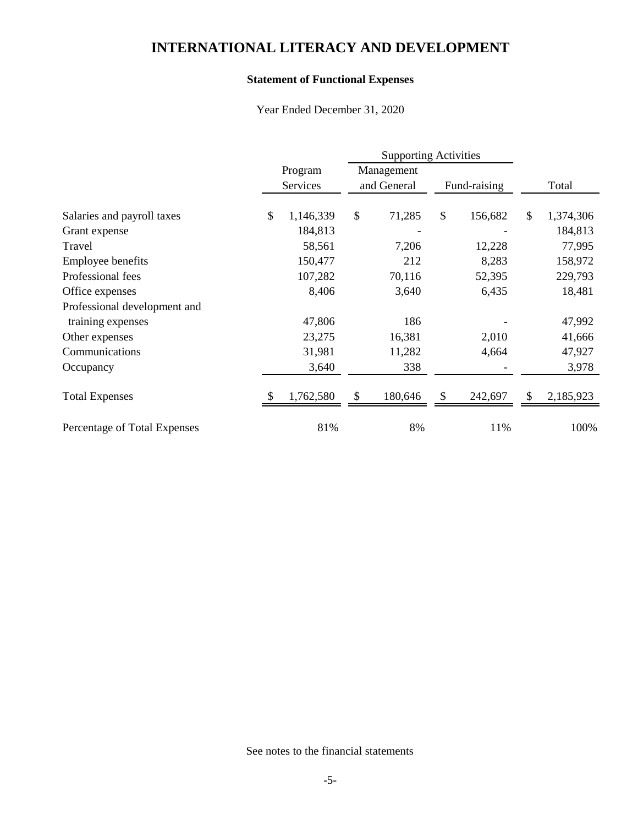### **Statement of Functional Expenses**

Year Ended December 31, 2020

|                              | <b>Supporting Activities</b> |     |             |               |              |    |           |
|------------------------------|------------------------------|-----|-------------|---------------|--------------|----|-----------|
|                              | Program                      |     | Management  |               |              |    |           |
|                              | Services                     |     | and General |               | Fund-raising |    | Total     |
| Salaries and payroll taxes   | \$<br>1,146,339              | \$  | 71,285      | $\mathcal{S}$ | 156,682      | \$ | 1,374,306 |
| Grant expense                | 184,813                      |     |             |               |              |    | 184,813   |
| Travel                       | 58,561                       |     | 7,206       |               | 12,228       |    | 77,995    |
| Employee benefits            | 150,477                      |     | 212         |               | 8,283        |    | 158,972   |
| Professional fees            | 107,282                      |     | 70,116      |               | 52,395       |    | 229,793   |
| Office expenses              | 8,406                        |     | 3,640       |               | 6,435        |    | 18,481    |
| Professional development and |                              |     |             |               |              |    |           |
| training expenses            | 47,806                       |     | 186         |               |              |    | 47,992    |
| Other expenses               | 23,275                       |     | 16,381      |               | 2,010        |    | 41,666    |
| Communications               | 31,981                       |     | 11,282      |               | 4,664        |    | 47,927    |
| Occupancy                    | 3,640                        |     | 338         |               |              |    | 3,978     |
| <b>Total Expenses</b>        | 1,762,580                    | \$. | 180,646     | \$            | 242,697      | \$ | 2,185,923 |
| Percentage of Total Expenses | 81%                          |     | 8%          |               | 11%          |    | 100%      |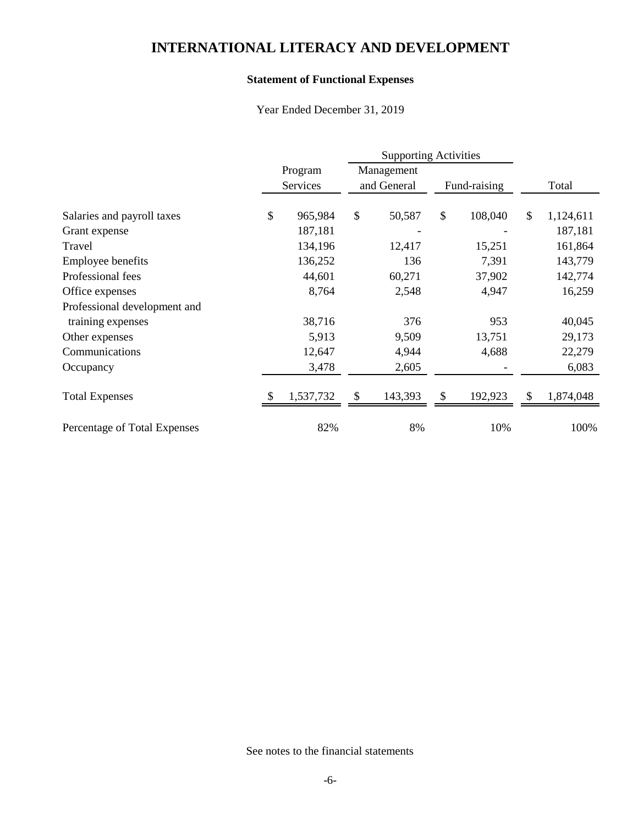### **Statement of Functional Expenses**

Year Ended December 31, 2019

|                              | <b>Supporting Activities</b> |               |                           |               |              |    |           |
|------------------------------|------------------------------|---------------|---------------------------|---------------|--------------|----|-----------|
|                              | Program<br>Services          |               | Management<br>and General |               | Fund-raising |    | Total     |
| Salaries and payroll taxes   | \$<br>965,984                | $\mathcal{S}$ | 50,587                    | $\mathcal{S}$ | 108,040      | \$ | 1,124,611 |
| Grant expense                | 187,181                      |               |                           |               |              |    | 187,181   |
| Travel                       | 134,196                      |               | 12,417                    |               | 15,251       |    | 161,864   |
| Employee benefits            | 136,252                      |               | 136                       |               | 7,391        |    | 143,779   |
| Professional fees            | 44,601                       |               | 60,271                    |               | 37,902       |    | 142,774   |
| Office expenses              | 8,764                        |               | 2,548                     |               | 4,947        |    | 16,259    |
| Professional development and |                              |               |                           |               |              |    |           |
| training expenses            | 38,716                       |               | 376                       |               | 953          |    | 40,045    |
| Other expenses               | 5,913                        |               | 9,509                     |               | 13,751       |    | 29,173    |
| Communications               | 12,647                       |               | 4,944                     |               | 4,688        |    | 22,279    |
| Occupancy                    | 3,478                        |               | 2,605                     |               |              |    | 6,083     |
| <b>Total Expenses</b>        | 1,537,732                    | \$.           | 143,393                   | \$            | 192,923      | \$ | 1,874,048 |
| Percentage of Total Expenses | 82%                          |               | 8%                        |               | 10%          |    | 100%      |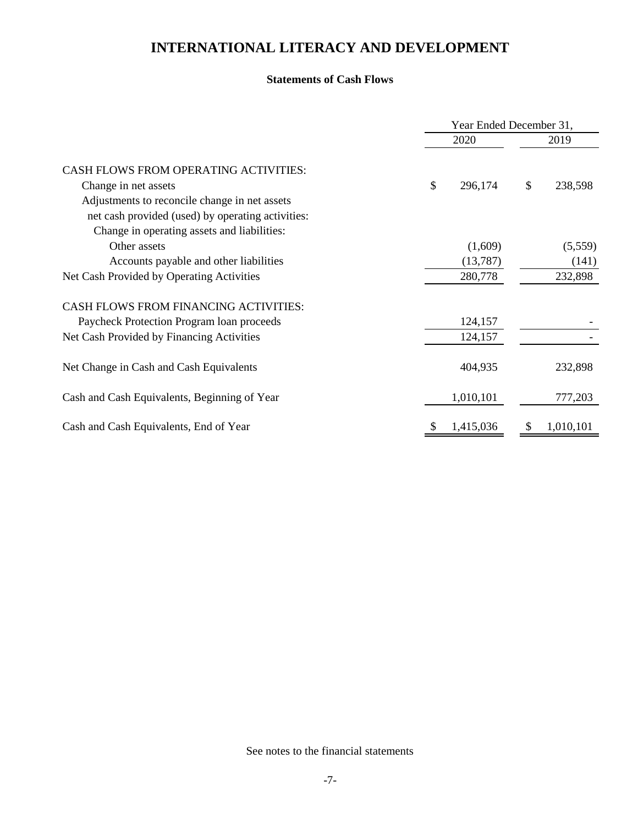#### **Statements of Cash Flows**

|                                                   |               | Year Ended December 31, |
|---------------------------------------------------|---------------|-------------------------|
|                                                   | 2020          | 2019                    |
| <b>CASH FLOWS FROM OPERATING ACTIVITIES:</b>      |               |                         |
| Change in net assets                              | \$<br>296,174 | \$<br>238,598           |
| Adjustments to reconcile change in net assets     |               |                         |
| net cash provided (used) by operating activities: |               |                         |
| Change in operating assets and liabilities:       |               |                         |
| Other assets                                      | (1,609)       | (5,559)                 |
| Accounts payable and other liabilities            | (13,787)      | (141)                   |
| Net Cash Provided by Operating Activities         | 280,778       | 232,898                 |
| <b>CASH FLOWS FROM FINANCING ACTIVITIES:</b>      |               |                         |
| Paycheck Protection Program loan proceeds         | 124,157       |                         |
| Net Cash Provided by Financing Activities         | 124,157       |                         |
| Net Change in Cash and Cash Equivalents           | 404,935       | 232,898                 |
| Cash and Cash Equivalents, Beginning of Year      | 1,010,101     | 777,203                 |
| Cash and Cash Equivalents, End of Year            | 1,415,036     | 1,010,101               |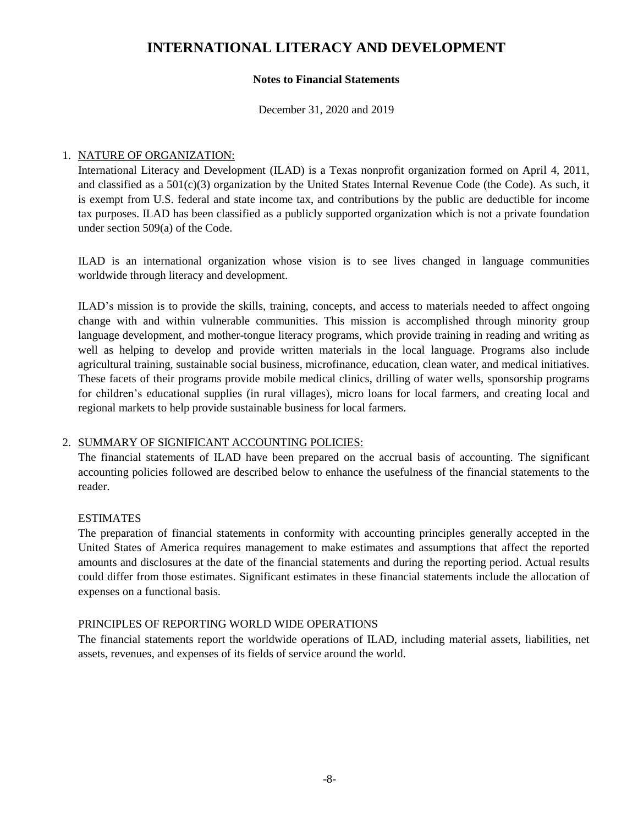#### **Notes to Financial Statements**

December 31, 2020 and 2019

#### 1. NATURE OF ORGANIZATION:

International Literacy and Development (ILAD) is a Texas nonprofit organization formed on April 4, 2011, and classified as a  $501(c)(3)$  organization by the United States Internal Revenue Code (the Code). As such, it is exempt from U.S. federal and state income tax, and contributions by the public are deductible for income tax purposes. ILAD has been classified as a publicly supported organization which is not a private foundation under section 509(a) of the Code.

ILAD is an international organization whose vision is to see lives changed in language communities worldwide through literacy and development.

ILAD's mission is to provide the skills, training, concepts, and access to materials needed to affect ongoing change with and within vulnerable communities. This mission is accomplished through minority group language development, and mother-tongue literacy programs, which provide training in reading and writing as well as helping to develop and provide written materials in the local language. Programs also include agricultural training, sustainable social business, microfinance, education, clean water, and medical initiatives. These facets of their programs provide mobile medical clinics, drilling of water wells, sponsorship programs for children's educational supplies (in rural villages), micro loans for local farmers, and creating local and regional markets to help provide sustainable business for local farmers.

#### 2. SUMMARY OF SIGNIFICANT ACCOUNTING POLICIES:

The financial statements of ILAD have been prepared on the accrual basis of accounting. The significant accounting policies followed are described below to enhance the usefulness of the financial statements to the reader.

#### ESTIMATES

The preparation of financial statements in conformity with accounting principles generally accepted in the United States of America requires management to make estimates and assumptions that affect the reported amounts and disclosures at the date of the financial statements and during the reporting period. Actual results could differ from those estimates. Significant estimates in these financial statements include the allocation of expenses on a functional basis.

#### PRINCIPLES OF REPORTING WORLD WIDE OPERATIONS

The financial statements report the worldwide operations of ILAD, including material assets, liabilities, net assets, revenues, and expenses of its fields of service around the world.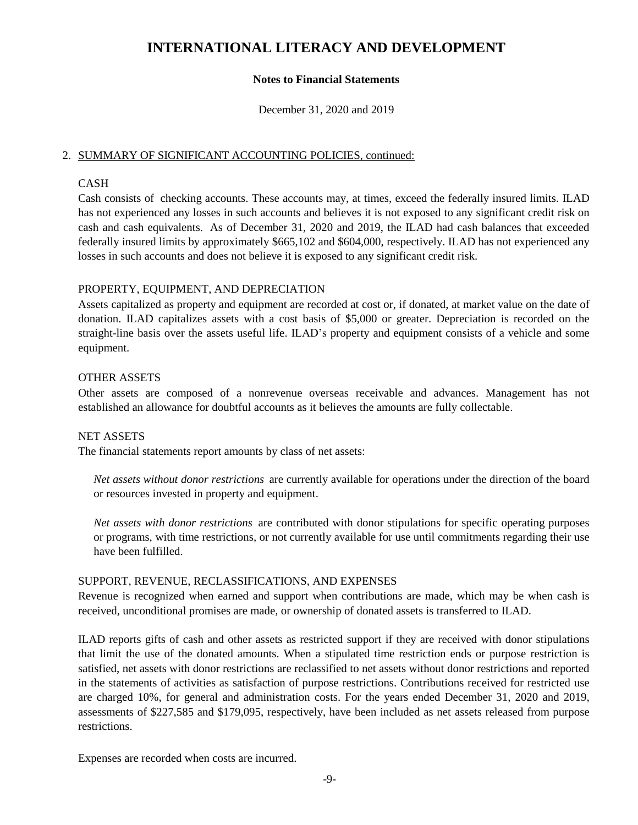#### **Notes to Financial Statements**

December 31, 2020 and 2019

#### 2. SUMMARY OF SIGNIFICANT ACCOUNTING POLICIES, continued:

### CASH

Cash consists of checking accounts. These accounts may, at times, exceed the federally insured limits. ILAD has not experienced any losses in such accounts and believes it is not exposed to any significant credit risk on cash and cash equivalents. As of December 31, 2020 and 2019, the ILAD had cash balances that exceeded federally insured limits by approximately \$665,102 and \$604,000, respectively. ILAD has not experienced any losses in such accounts and does not believe it is exposed to any significant credit risk.

#### PROPERTY, EQUIPMENT, AND DEPRECIATION

Assets capitalized as property and equipment are recorded at cost or, if donated, at market value on the date of donation. ILAD capitalizes assets with a cost basis of \$5,000 or greater. Depreciation is recorded on the straight-line basis over the assets useful life. ILAD's property and equipment consists of a vehicle and some equipment.

#### OTHER ASSETS

Other assets are composed of a nonrevenue overseas receivable and advances. Management has not established an allowance for doubtful accounts as it believes the amounts are fully collectable.

#### NET ASSETS

The financial statements report amounts by class of net assets:

*Net assets without donor restrictions* are currently available for operations under the direction of the board or resources invested in property and equipment.

*Net assets with donor restrictions* are contributed with donor stipulations for specific operating purposes or programs, with time restrictions, or not currently available for use until commitments regarding their use have been fulfilled.

#### SUPPORT, REVENUE, RECLASSIFICATIONS, AND EXPENSES

Revenue is recognized when earned and support when contributions are made, which may be when cash is received, unconditional promises are made, or ownership of donated assets is transferred to ILAD.

ILAD reports gifts of cash and other assets as restricted support if they are received with donor stipulations that limit the use of the donated amounts. When a stipulated time restriction ends or purpose restriction is satisfied, net assets with donor restrictions are reclassified to net assets without donor restrictions and reported in the statements of activities as satisfaction of purpose restrictions. Contributions received for restricted use are charged 10%, for general and administration costs. For the years ended December 31, 2020 and 2019, assessments of \$227,585 and \$179,095, respectively, have been included as net assets released from purpose restrictions.

Expenses are recorded when costs are incurred.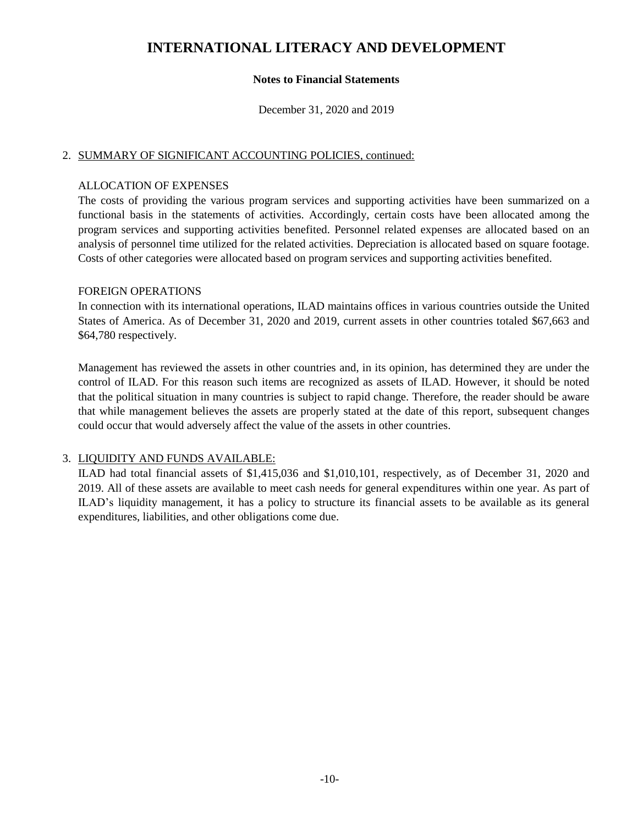#### **Notes to Financial Statements**

December 31, 2020 and 2019

#### 2. SUMMARY OF SIGNIFICANT ACCOUNTING POLICIES, continued:

#### ALLOCATION OF EXPENSES

The costs of providing the various program services and supporting activities have been summarized on a functional basis in the statements of activities. Accordingly, certain costs have been allocated among the program services and supporting activities benefited. Personnel related expenses are allocated based on an analysis of personnel time utilized for the related activities. Depreciation is allocated based on square footage. Costs of other categories were allocated based on program services and supporting activities benefited.

#### FOREIGN OPERATIONS

In connection with its international operations, ILAD maintains offices in various countries outside the United States of America. As of December 31, 2020 and 2019, current assets in other countries totaled \$67,663 and \$64,780 respectively.

Management has reviewed the assets in other countries and, in its opinion, has determined they are under the control of ILAD. For this reason such items are recognized as assets of ILAD. However, it should be noted that the political situation in many countries is subject to rapid change. Therefore, the reader should be aware that while management believes the assets are properly stated at the date of this report, subsequent changes could occur that would adversely affect the value of the assets in other countries.

#### 3. LIQUIDITY AND FUNDS AVAILABLE:

ILAD had total financial assets of \$1,415,036 and \$1,010,101, respectively, as of December 31, 2020 and 2019. All of these assets are available to meet cash needs for general expenditures within one year. As part of ILAD's liquidity management, it has a policy to structure its financial assets to be available as its general expenditures, liabilities, and other obligations come due.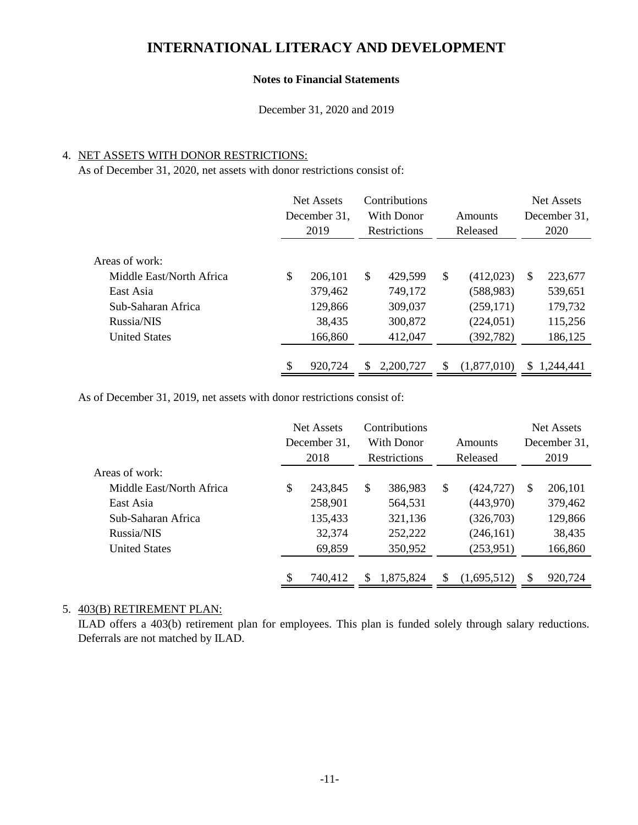#### **Notes to Financial Statements**

December 31, 2020 and 2019

#### 4. NET ASSETS WITH DONOR RESTRICTIONS:

As of December 31, 2020, net assets with donor restrictions consist of:

|                          | <b>Net Assets</b><br>December 31.<br>2019 |               | Contributions<br>With Donor<br><b>Restrictions</b> | Amounts<br>Released |               | <b>Net Assets</b><br>December 31,<br>2020 |
|--------------------------|-------------------------------------------|---------------|----------------------------------------------------|---------------------|---------------|-------------------------------------------|
| Areas of work:           |                                           |               |                                                    |                     |               |                                           |
| Middle East/North Africa | \$<br>206,101                             | <sup>\$</sup> | 429,599                                            | \$<br>(412,023)     | <sup>\$</sup> | 223,677                                   |
| East Asia                | 379,462                                   |               | 749,172                                            | (588, 983)          |               | 539,651                                   |
| Sub-Saharan Africa       | 129,866                                   |               | 309,037                                            | (259, 171)          |               | 179,732                                   |
| Russia/NIS               | 38,435                                    |               | 300,872                                            | (224, 051)          |               | 115,256                                   |
| <b>United States</b>     | 166,860                                   |               | 412,047                                            | (392, 782)          |               | 186,125                                   |
|                          | \$<br>920,724                             | \$            | 2,200,727                                          | \$<br>(1,877,010)   | \$            | 1,244,441                                 |

As of December 31, 2019, net assets with donor restrictions consist of:

|                          | <b>Net Assets</b> |              |   | Contributions     |                  |     | <b>Net Assets</b> |
|--------------------------|-------------------|--------------|---|-------------------|------------------|-----|-------------------|
|                          |                   | December 31, |   | <b>With Donor</b> | Amounts          |     | December 31,      |
|                          |                   | 2018         |   | Restrictions      | Released         |     | 2019              |
| Areas of work:           |                   |              |   |                   |                  |     |                   |
| Middle East/North Africa | \$                | 243.845      | S | 386,983           | \$<br>(424, 727) | S   | 206,101           |
| East Asia                |                   | 258,901      |   | 564,531           | (443,970)        |     | 379,462           |
| Sub-Saharan Africa       |                   | 135,433      |   | 321,136           | (326,703)        |     | 129,866           |
| Russia/NIS               |                   | 32,374       |   | 252,222           | (246,161)        |     | 38,435            |
| <b>United States</b>     |                   | 69,859       |   | 350,952           | (253, 951)       |     | 166,860           |
|                          |                   |              |   |                   |                  |     |                   |
|                          | \$                | 740,412      | S | 1,875,824         | (1,695,512)      | \$. | 920,724           |

#### 5. 403(B) RETIREMENT PLAN:

ILAD offers a 403(b) retirement plan for employees. This plan is funded solely through salary reductions. Deferrals are not matched by ILAD.